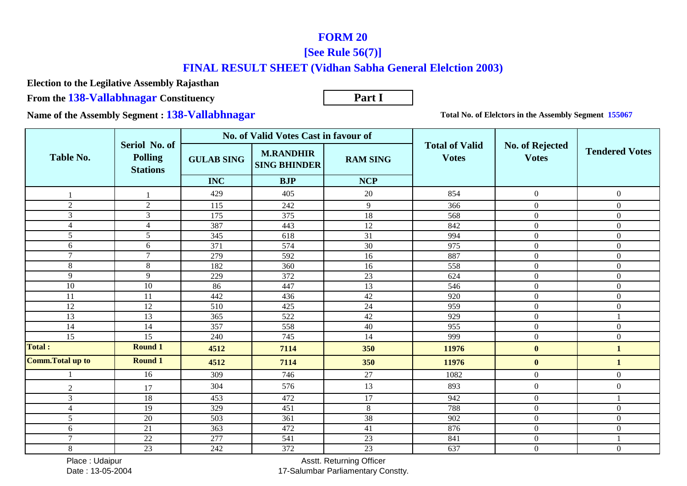## **FORM 20**

## **[See Rule 56(7)]**

## **FINAL RESULT SHEET (Vidhan Sabha General Elelction 2003)**

**Election to the Legilative Assembly Rajasthan**

**From the 138-Vallabhnagar Constituency**

**Part I**

**Name of the Assembly Segment : 138-Vallabhnagar**

**Total No. of Elelctors in the Assembly Segment 155067**

|                          |                                                    | No. of Valid Votes Cast in favour of |                                         |                 |                                       |                                 |                       |
|--------------------------|----------------------------------------------------|--------------------------------------|-----------------------------------------|-----------------|---------------------------------------|---------------------------------|-----------------------|
| Table No.                | Seriol No. of<br><b>Polling</b><br><b>Stations</b> | <b>GULAB SING</b>                    | <b>M.RANDHIR</b><br><b>SING BHINDER</b> | <b>RAM SING</b> | <b>Total of Valid</b><br><b>Votes</b> | No. of Rejected<br><b>Votes</b> | <b>Tendered Votes</b> |
|                          |                                                    | <b>INC</b>                           | <b>BJP</b>                              | <b>NCP</b>      |                                       |                                 |                       |
|                          |                                                    | 429                                  | 405                                     | 20              | 854                                   | $\mathbf{0}$                    | $\boldsymbol{0}$      |
| 2                        | 2                                                  | 115                                  | 242                                     | 9               | 366                                   | $\overline{0}$                  | $\boldsymbol{0}$      |
| $\mathfrak{Z}$           | $\mathfrak{Z}$                                     | 175                                  | 375                                     | 18              | 568                                   | $\mathbf{0}$                    | $\boldsymbol{0}$      |
| $\overline{4}$           | $\overline{4}$                                     | 387                                  | 443                                     | 12              | 842                                   | $\mathbf{0}$                    | $\overline{0}$        |
| 5                        | 5                                                  | 345                                  | 618                                     | $\overline{31}$ | 994                                   | $\mathbf{0}$                    | $\mathbf{0}$          |
| 6                        | 6                                                  | 371                                  | 574                                     | 30              | 975                                   | $\mathbf{0}$                    | $\mathbf{0}$          |
| $\mathcal{I}$            | $\tau$                                             | 279                                  | 592                                     | 16              | 887                                   | $\overline{0}$                  | $\overline{0}$        |
| $\,8\,$                  | $8\,$                                              | 182                                  | 360                                     | 16              | 558                                   | $\boldsymbol{0}$                | $\mathbf{0}$          |
| 9                        | 9                                                  | 229                                  | 372                                     | 23              | 624                                   | $\mathbf{0}$                    | $\overline{0}$        |
| 10                       | 10                                                 | 86                                   | 447                                     | 13              | 546                                   | $\mathbf{0}$                    | $\overline{0}$        |
| 11                       | 11                                                 | 442                                  | 436                                     | 42              | 920                                   | $\mathbf{0}$                    | $\boldsymbol{0}$      |
| 12                       | 12                                                 | 510                                  | 425                                     | 24              | 959                                   | $\boldsymbol{0}$                | $\mathbf{0}$          |
| 13                       | 13                                                 | 365                                  | 522                                     | 42              | 929                                   | $\mathbf{0}$                    |                       |
| 14                       | 14                                                 | 357                                  | 558                                     | 40              | 955                                   | $\mathbf{0}$                    | $\boldsymbol{0}$      |
| 15                       | 15                                                 | 240                                  | 745                                     | 14              | 999                                   | $\mathbf{0}$                    | $\mathbf{0}$          |
| <b>Total:</b>            | <b>Round 1</b>                                     | 4512                                 | 7114                                    | 350             | 11976                                 | $\bf{0}$                        | $\mathbf{1}$          |
| <b>Comm. Total up to</b> | <b>Round 1</b>                                     | 4512                                 | 7114                                    | 350             | 11976                                 | $\bf{0}$                        | $\mathbf{1}$          |
|                          | 16                                                 | 309                                  | 746                                     | 27              | 1082                                  | $\mathbf{0}$                    | $\overline{0}$        |
| $\overline{2}$           | 17                                                 | 304                                  | 576                                     | 13              | 893                                   | $\boldsymbol{0}$                | $\boldsymbol{0}$      |
| 3                        | 18                                                 | 453                                  | 472                                     | 17              | 942                                   | $\boldsymbol{0}$                |                       |
| $\overline{4}$           | 19                                                 | $\frac{1}{329}$                      | 451                                     | $\overline{8}$  | 788                                   | $\boldsymbol{0}$                | $\mathbf{0}$          |
| 5                        | 20                                                 | 503                                  | 361                                     | $\overline{38}$ | 902                                   | $\mathbf{0}$                    | $\boldsymbol{0}$      |
| 6                        | $\overline{21}$                                    | 363                                  | 472                                     | 41              | 876                                   | $\mathbf{0}$                    | $\mathbf{0}$          |
| $\overline{7}$           | $22\,$                                             | 277                                  | 541                                     | 23              | 841                                   | $\boldsymbol{0}$                |                       |
| 8                        | 23                                                 | 242                                  | 372                                     | $23\,$          | 637                                   | $\mathbf{0}$                    | $\boldsymbol{0}$      |

 Place : UdaipurDate : 13-05-2004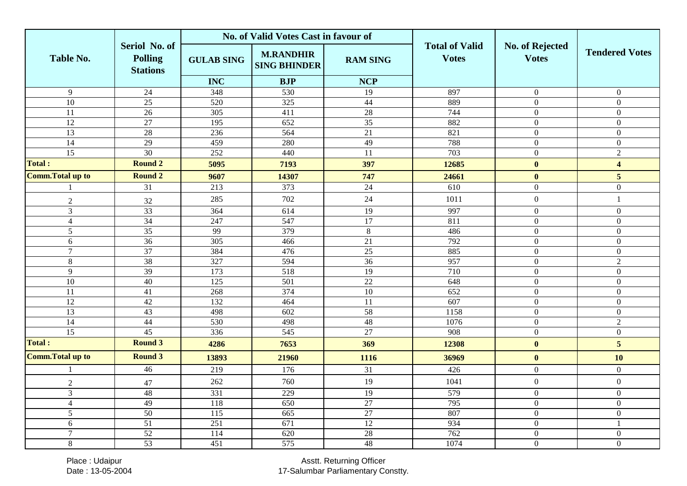|                          |                                                    |                   | No. of Valid Votes Cast in favour of    |                 |                                       |                                 |                         |
|--------------------------|----------------------------------------------------|-------------------|-----------------------------------------|-----------------|---------------------------------------|---------------------------------|-------------------------|
| <b>Table No.</b>         | Seriol No. of<br><b>Polling</b><br><b>Stations</b> | <b>GULAB SING</b> | <b>M.RANDHIR</b><br><b>SING BHINDER</b> | <b>RAM SING</b> | <b>Total of Valid</b><br><b>Votes</b> | No. of Rejected<br><b>Votes</b> | <b>Tendered Votes</b>   |
|                          |                                                    | <b>INC</b>        | <b>BJP</b>                              | <b>NCP</b>      |                                       |                                 |                         |
| $\overline{9}$           | $\overline{24}$                                    | 348               | 530                                     | 19              | 897                                   | $\boldsymbol{0}$                | $\mathbf{0}$            |
| 10                       | 25                                                 | 520               | 325                                     | 44              | 889                                   | $\mathbf{0}$                    | $\overline{0}$          |
| $\overline{11}$          | 26                                                 | 305               | 411                                     | 28              | 744                                   | $\mathbf{0}$                    | $\mathbf{0}$            |
| 12                       | 27                                                 | 195               | 652                                     | $\overline{35}$ | 882                                   | $\mathbf{0}$                    | $\overline{0}$          |
| 13                       | 28                                                 | 236               | 564                                     | 21              | 821                                   | $\boldsymbol{0}$                | $\Omega$                |
| 14                       | 29                                                 | 459               | 280                                     | 49              | 788                                   | $\mathbf{0}$                    | $\Omega$                |
| $\overline{15}$          | 30                                                 | 252               | 440                                     | 11              | 703                                   | $\mathbf{0}$                    | $\overline{2}$          |
| <b>Total:</b>            | <b>Round 2</b>                                     | 5095              | 7193                                    | 397             | 12685                                 | $\mathbf{0}$                    | $\overline{\mathbf{4}}$ |
| <b>Comm. Total up to</b> | <b>Round 2</b>                                     | 9607              | 14307                                   | 747             | 24661                                 | $\bf{0}$                        | 5                       |
|                          | 31                                                 | 213               | 373                                     | $\overline{24}$ | 610                                   | $\boldsymbol{0}$                | $\overline{0}$          |
| $\sqrt{2}$               | $32\,$                                             | 285               | 702                                     | 24              | 1011                                  | $\boldsymbol{0}$                | $\mathbf{1}$            |
| $\mathfrak{Z}$           | 33                                                 | 364               | 614                                     | 19              | 997                                   | $\boldsymbol{0}$                | $\mathbf{0}$            |
| $\overline{4}$           | 34                                                 | 247               | 547                                     | $\overline{17}$ | 811                                   | $\boldsymbol{0}$                | $\overline{0}$          |
| 5                        | 35                                                 | 99                | 379                                     | $\overline{8}$  | 486                                   | $\mathbf{0}$                    | $\overline{0}$          |
| 6                        | $\overline{36}$                                    | $\overline{305}$  | 466                                     | $\overline{21}$ | 792                                   | $\mathbf{0}$                    | $\Omega$                |
| $\overline{7}$           | $\overline{37}$                                    | 384               | 476                                     | 25              | 885                                   | $\mathbf{0}$                    | $\boldsymbol{0}$        |
| $8\,$                    | $\overline{38}$                                    | 327               | 594                                     | 36              | 957                                   | $\boldsymbol{0}$                | $\overline{2}$          |
| 9                        | 39                                                 | 173               | 518                                     | 19              | 710                                   | $\mathbf{0}$                    | $\mathbf{0}$            |
| $\overline{10}$          | 40                                                 | 125               | 501                                     | 22              | 648                                   | $\boldsymbol{0}$                | $\mathbf{0}$            |
| 11                       | $\overline{41}$                                    | 268               | 374                                     | $\overline{10}$ | 652                                   | $\mathbf{0}$                    | $\overline{0}$          |
| 12                       | 42                                                 | 132               | 464                                     | 11              | 607                                   | $\boldsymbol{0}$                | $\overline{0}$          |
| 13                       | 43                                                 | 498               | 602                                     | $\overline{58}$ | 1158                                  | $\mathbf{0}$                    | $\mathbf{0}$            |
| 14                       | 44                                                 | 530               | 498                                     | 48              | 1076                                  | $\boldsymbol{0}$                | $\overline{2}$          |
| $\overline{15}$          | 45                                                 | 336               | 545                                     | 27              | $\overline{908}$                      | $\mathbf{0}$                    | $\overline{0}$          |
| <b>Total:</b>            | <b>Round 3</b>                                     | 4286              | 7653                                    | 369             | 12308                                 | $\mathbf{0}$                    | 5                       |
| <b>Comm. Total up to</b> | <b>Round 3</b>                                     | 13893             | 21960                                   | 1116            | 36969                                 | $\bf{0}$                        | 10                      |
|                          | $\overline{46}$                                    | 219               | 176                                     | $\overline{31}$ | 426                                   | $\boldsymbol{0}$                | $\mathbf{0}$            |
| $\overline{2}$           | 47                                                 | 262               | 760                                     | 19              | 1041                                  | $\boldsymbol{0}$                | $\overline{0}$          |
| 3                        | 48                                                 | 331               | 229                                     | $\overline{19}$ | $\overline{579}$                      | $\mathbf{0}$                    | $\overline{0}$          |
| $\overline{4}$           | 49                                                 | 118               | 650                                     | $\overline{27}$ | 795                                   | $\boldsymbol{0}$                | $\overline{0}$          |
| 5                        | 50                                                 | 115               | 665                                     | 27              | 807                                   | $\mathbf{0}$                    | $\mathbf{0}$            |
| $6\,$                    | $\overline{51}$                                    | 251               | 671                                     | 12              | 934                                   | $\boldsymbol{0}$                | $\mathbf{1}$            |
| $\overline{7}$           | 52                                                 | 114               | 620                                     | 28              | 762                                   | $\mathbf{0}$                    | $\boldsymbol{0}$        |
| $8\,$                    | $\overline{53}$                                    | 451               | 575                                     | $\overline{48}$ | 1074                                  | $\boldsymbol{0}$                | $\overline{0}$          |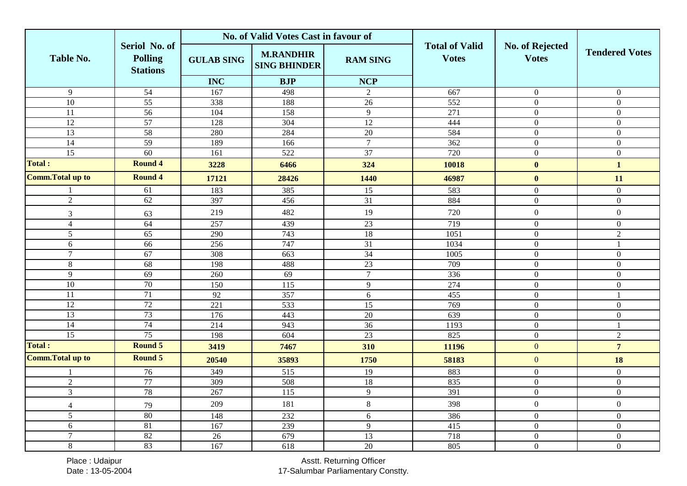|                          |                                                    |                   | No. of Valid Votes Cast in favour of    |                 |                                       |                                        |                       |
|--------------------------|----------------------------------------------------|-------------------|-----------------------------------------|-----------------|---------------------------------------|----------------------------------------|-----------------------|
| <b>Table No.</b>         | Seriol No. of<br><b>Polling</b><br><b>Stations</b> | <b>GULAB SING</b> | <b>M.RANDHIR</b><br><b>SING BHINDER</b> | <b>RAM SING</b> | <b>Total of Valid</b><br><b>Votes</b> | <b>No. of Rejected</b><br><b>Votes</b> | <b>Tendered Votes</b> |
|                          |                                                    | <b>INC</b>        | <b>BJP</b>                              | <b>NCP</b>      |                                       |                                        |                       |
| $\overline{9}$           | $\overline{54}$                                    | 167               | 498                                     | 2               | 667                                   | $\overline{0}$                         | $\theta$              |
| 10                       | $\overline{55}$                                    | 338               | 188                                     | 26              | 552                                   | $\mathbf{0}$                           | $\overline{0}$        |
| $\overline{11}$          | 56                                                 | 104               | 158                                     | $\overline{9}$  | 271                                   | $\overline{0}$                         | $\overline{0}$        |
| 12                       | 57                                                 | 128               | 304                                     | 12              | 444                                   | $\boldsymbol{0}$                       | $\overline{0}$        |
| $\overline{13}$          | 58                                                 | 280               | 284                                     | $\overline{20}$ | 584                                   | $\mathbf{0}$                           | $\mathbf{0}$          |
| $\overline{14}$          | 59                                                 | 189               | 166                                     | $\overline{7}$  | 362                                   | $\mathbf{0}$                           | $\overline{0}$        |
| $\overline{15}$          | 60                                                 | 161               | 522                                     | 37              | 720                                   | $\mathbf{0}$                           | $\overline{0}$        |
| <b>Total:</b>            | <b>Round 4</b>                                     | 3228              | 6466                                    | 324             | 10018                                 | $\bf{0}$                               | $\mathbf{1}$          |
| <b>Comm. Total up to</b> | <b>Round 4</b>                                     | 17121             | 28426                                   | 1440            | 46987                                 | $\bf{0}$                               | 11                    |
|                          | 61                                                 | 183               | 385                                     | 15              | 583                                   | $\mathbf{0}$                           | $\boldsymbol{0}$      |
| $\sqrt{2}$               | $\overline{62}$                                    | 397               | 456                                     | 31              | 884                                   | $\mathbf{0}$                           | $\overline{0}$        |
| $\mathfrak{Z}$           | 63                                                 | 219               | 482                                     | 19              | 720                                   | $\boldsymbol{0}$                       | $\overline{0}$        |
| $\overline{4}$           | 64                                                 | 257               | 439                                     | 23              | 719                                   | $\boldsymbol{0}$                       | $\overline{0}$        |
| 5                        | 65                                                 | 290               | 743                                     | 18              | 1051                                  | $\mathbf{0}$                           | $\overline{2}$        |
| 6                        | 66                                                 | 256               | 747                                     | 31              | 1034                                  | $\mathbf{0}$                           | $\mathbf{1}$          |
| $\overline{7}$           | 67                                                 | 308               | 663                                     | 34              | 1005                                  | $\overline{0}$                         | $\overline{0}$        |
| $\,8\,$                  | 68                                                 | 198               | 488                                     | 23              | 709                                   | $\mathbf{0}$                           | $\overline{0}$        |
| $\overline{9}$           | 69                                                 | 260               | 69                                      | $\overline{7}$  | 336                                   | $\mathbf{0}$                           | $\mathbf{0}$          |
| 10                       | 70                                                 | 150               | $\overline{115}$                        | $\overline{9}$  | 274                                   | $\mathbf{0}$                           | $\Omega$              |
| $\overline{11}$          | 71                                                 | $\overline{92}$   | 357                                     | 6               | 455                                   | $\mathbf{0}$                           |                       |
| 12                       | 72                                                 | 221               | $\overline{533}$                        | 15              | 769                                   | $\mathbf{0}$                           | $\overline{0}$        |
| $\overline{13}$          | 73                                                 | 176               | 443                                     | $\overline{20}$ | 639                                   | $\mathbf{0}$                           | $\mathbf{0}$          |
| $\overline{14}$          | 74                                                 | 214               | 943                                     | 36              | 1193                                  | $\boldsymbol{0}$                       | $\mathbf{1}$          |
| 15                       | 75                                                 | 198               | 604                                     | 23              | 825                                   | $\boldsymbol{0}$                       | $\overline{c}$        |
| <b>Total:</b>            | <b>Round 5</b>                                     | 3419              | 7467                                    | 310             | 11196                                 | $\mathbf{0}$                           | $\overline{7}$        |
| <b>Comm. Total up to</b> | <b>Round 5</b>                                     | 20540             | 35893                                   | 1750            | 58183                                 | $\boldsymbol{0}$                       | 18                    |
|                          | 76                                                 | 349               | 515                                     | $\overline{19}$ | 883                                   | $\mathbf{0}$                           | $\mathbf{0}$          |
| $\sqrt{2}$               | 77                                                 | 309               | 508                                     | $18\,$          | 835                                   | $\boldsymbol{0}$                       | $\overline{0}$        |
| $\mathfrak{Z}$           | 78                                                 | 267               | 115                                     | $\overline{9}$  | 391                                   | $\boldsymbol{0}$                       | $\overline{0}$        |
| $\overline{4}$           | 79                                                 | 209               | 181                                     | $8\,$           | 398                                   | $\boldsymbol{0}$                       | $\overline{0}$        |
| $\overline{5}$           | 80                                                 | 148               | 232                                     | 6               | 386                                   | $\boldsymbol{0}$                       | $\Omega$              |
| 6                        | 81                                                 | 167               | 239                                     | $\overline{9}$  | 415                                   | $\mathbf{0}$                           | $\overline{0}$        |
| $\overline{7}$           | 82                                                 | $\overline{26}$   | 679                                     | 13              | 718                                   | $\overline{0}$                         | $\mathbf{0}$          |
| $8\,$                    | 83                                                 | 167               | 618                                     | 20              | 805                                   | $\boldsymbol{0}$                       | $\mathbf{0}$          |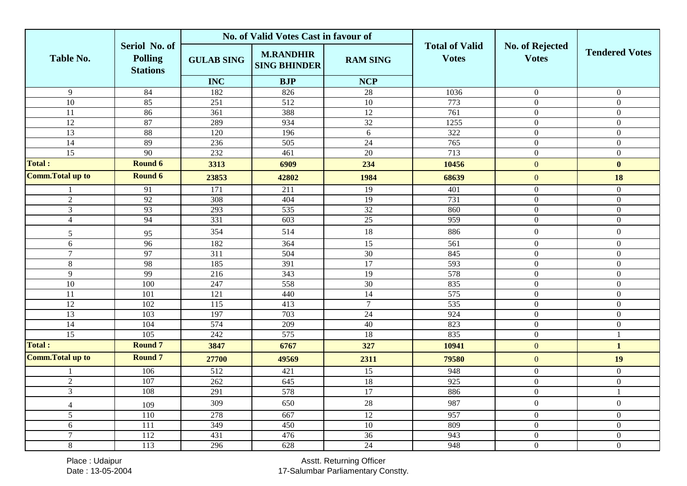|                          |                                                    |                   | No. of Valid Votes Cast in favour of    |                 |                                       |                                        |                       |
|--------------------------|----------------------------------------------------|-------------------|-----------------------------------------|-----------------|---------------------------------------|----------------------------------------|-----------------------|
| <b>Table No.</b>         | Seriol No. of<br><b>Polling</b><br><b>Stations</b> | <b>GULAB SING</b> | <b>M.RANDHIR</b><br><b>SING BHINDER</b> | <b>RAM SING</b> | <b>Total of Valid</b><br><b>Votes</b> | <b>No. of Rejected</b><br><b>Votes</b> | <b>Tendered Votes</b> |
|                          |                                                    | <b>INC</b>        | <b>BJP</b>                              | <b>NCP</b>      |                                       |                                        |                       |
| $\overline{9}$           | 84                                                 | 182               | 826                                     | 28              | 1036                                  | $\boldsymbol{0}$                       | $\overline{0}$        |
| 10                       | 85                                                 | 251               | 512                                     | 10              | 773                                   | $\mathbf{0}$                           | $\overline{0}$        |
| $\overline{11}$          | 86                                                 | 361               | 388                                     | 12              | 761                                   | $\overline{0}$                         | $\overline{0}$        |
| 12                       | 87                                                 | 289               | 934                                     | 32              | 1255                                  | $\mathbf{0}$                           | $\Omega$              |
| 13                       | 88                                                 | 120               | 196                                     | 6               | 322                                   | $\mathbf{0}$                           | $\mathbf{0}$          |
| $\overline{14}$          | 89                                                 | 236               | $\overline{505}$                        | $\overline{24}$ | 765                                   | $\boldsymbol{0}$                       | $\mathbf{0}$          |
| $\overline{15}$          | 90                                                 | 232               | 461                                     | 20              | 713                                   | $\boldsymbol{0}$                       | $\overline{0}$        |
| <b>Total:</b>            | <b>Round 6</b>                                     | 3313              | 6909                                    | 234             | 10456                                 | $\boldsymbol{0}$                       | $\bf{0}$              |
| <b>Comm.Total up to</b>  | Round 6                                            | 23853             | 42802                                   | 1984            | 68639                                 | $\mathbf{0}$                           | 18                    |
|                          | 91                                                 | 171               | 211                                     | 19              | 401                                   | $\mathbf{0}$                           | $\mathbf{0}$          |
| $\overline{2}$           | 92                                                 | 308               | 404                                     | 19              | 731                                   | $\mathbf{0}$                           | $\overline{0}$        |
| $\mathfrak{Z}$           | 93                                                 | 293               | 535                                     | 32              | 860                                   | $\mathbf{0}$                           | $\overline{0}$        |
| $\overline{4}$           | 94                                                 | 331               | 603                                     | 25              | 959                                   | $\mathbf{0}$                           | $\overline{0}$        |
| 5                        | 95                                                 | 354               | 514                                     | 18              | 886                                   | $\boldsymbol{0}$                       | $\overline{0}$        |
| 6                        | 96                                                 | 182               | 364                                     | 15              | 561                                   | $\mathbf{0}$                           | $\overline{0}$        |
| $\overline{7}$           | 97                                                 | 311               | 504                                     | $\overline{30}$ | 845                                   | $\mathbf{0}$                           | $\overline{0}$        |
| $\,8\,$                  | 98                                                 | 185               | 391                                     | 17              | 593                                   | $\boldsymbol{0}$                       | $\overline{0}$        |
| $\overline{9}$           | 99                                                 | 216               | 343                                     | $\overline{19}$ | 578                                   | $\boldsymbol{0}$                       | $\mathbf{0}$          |
| 10                       | 100                                                | 247               | 558                                     | $\overline{30}$ | 835                                   | $\mathbf{0}$                           | $\mathbf{0}$          |
| 11                       | 101                                                | 121               | 440                                     | 14              | 575                                   | $\mathbf{0}$                           | $\overline{0}$        |
| $\overline{12}$          | 102                                                | $\overline{115}$  | 413                                     | $\overline{7}$  | $\overline{535}$                      | $\mathbf{0}$                           | $\overline{0}$        |
| $\overline{13}$          | 103                                                | 197               | 703                                     | 24              | 924                                   | $\boldsymbol{0}$                       | $\overline{0}$        |
| $\overline{14}$          | 104                                                | 574               | 209                                     | 40              | 823                                   | $\mathbf{0}$                           | $\overline{0}$        |
| $\overline{15}$          | 105                                                | 242               | 575                                     | 18              | 835                                   | $\mathbf{0}$                           | $\mathbf{1}$          |
| <b>Total:</b>            | <b>Round 7</b>                                     | 3847              | 6767                                    | 327             | 10941                                 | $\mathbf{0}$                           | $\mathbf{1}$          |
| <b>Comm. Total up to</b> | <b>Round 7</b>                                     | 27700             | 49569                                   | 2311            | 79580                                 | $\mathbf{0}$                           | 19                    |
|                          | 106                                                | $\overline{512}$  | 421                                     | $\overline{15}$ | 948                                   | $\mathbf{0}$                           | $\mathbf{0}$          |
| $\overline{2}$           | 107                                                | 262               | 645                                     | 18              | 925                                   | $\mathbf{0}$                           | $\mathbf{0}$          |
| $\overline{3}$           | 108                                                | 291               | 578                                     | 17              | 886                                   | $\mathbf{0}$                           | -1                    |
| $\overline{4}$           | 109                                                | 309               | 650                                     | $28\,$          | 987                                   | $\boldsymbol{0}$                       | $\mathbf{0}$          |
| 5                        | 110                                                | 278               | 667                                     | 12              | 957                                   | $\mathbf{0}$                           | $\Omega$              |
| 6                        | $\overline{111}$                                   | 349               | 450                                     | 10              | 809                                   | $\mathbf{0}$                           | $\overline{0}$        |
| $\overline{7}$           | 112                                                | 431               | 476                                     | 36              | 943                                   | $\mathbf{0}$                           | $\mathbf{0}$          |
| $8\,$                    | 113                                                | 296               | 628                                     | $\overline{24}$ | 948                                   | $\mathbf{0}$                           | $\overline{0}$        |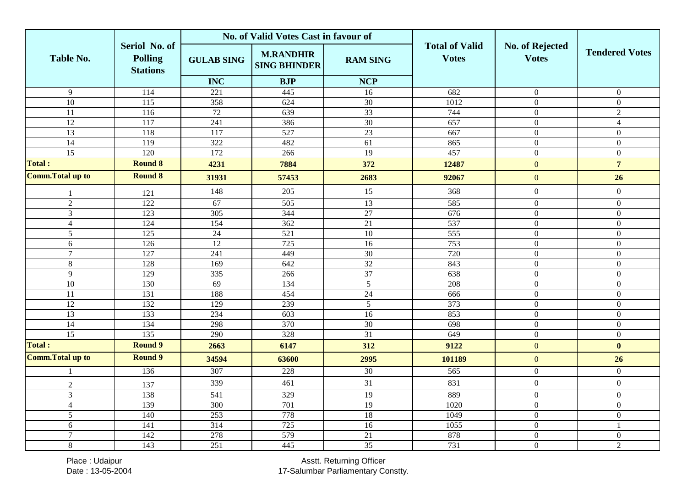|                          |                                                    |                   | No. of Valid Votes Cast in favour of    |                 |                                       |                                        |                       |
|--------------------------|----------------------------------------------------|-------------------|-----------------------------------------|-----------------|---------------------------------------|----------------------------------------|-----------------------|
| <b>Table No.</b>         | Seriol No. of<br><b>Polling</b><br><b>Stations</b> | <b>GULAB SING</b> | <b>M.RANDHIR</b><br><b>SING BHINDER</b> | <b>RAM SING</b> | <b>Total of Valid</b><br><b>Votes</b> | <b>No. of Rejected</b><br><b>Votes</b> | <b>Tendered Votes</b> |
|                          |                                                    | <b>INC</b>        | <b>BJP</b>                              | <b>NCP</b>      |                                       |                                        |                       |
| $\overline{9}$           | 114                                                | 221               | 445                                     | 16              | 682                                   | $\boldsymbol{0}$                       | $\overline{0}$        |
| 10                       | 115                                                | 358               | 624                                     | 30              | 1012                                  | $\mathbf{0}$                           | $\overline{0}$        |
| $\overline{11}$          | 116                                                | 72                | 639                                     | 33              | 744                                   | $\overline{0}$                         | $\overline{2}$        |
| 12                       | 117                                                | 241               | 386                                     | 30              | 657                                   | $\mathbf{0}$                           | $\overline{4}$        |
| 13                       | 118                                                | 117               | 527                                     | 23              | 667                                   | $\mathbf{0}$                           | $\overline{0}$        |
| $\overline{14}$          | 119                                                | 322               | 482                                     | $\overline{61}$ | 865                                   | $\mathbf{0}$                           | $\mathbf{0}$          |
| $\overline{15}$          | 120                                                | 172               | 266                                     | 19              | 457                                   | $\mathbf{0}$                           | $\overline{0}$        |
| <b>Total:</b>            | <b>Round 8</b>                                     | 4231              | 7884                                    | 372             | 12487                                 | $\boldsymbol{0}$                       | $\overline{7}$        |
| <b>Comm.Total up to</b>  | <b>Round 8</b>                                     | 31931             | 57453                                   | 2683            | 92067                                 | $\mathbf{0}$                           | 26                    |
|                          | 121                                                | 148               | 205                                     | 15              | 368                                   | $\boldsymbol{0}$                       | $\overline{0}$        |
| $\overline{2}$           | 122                                                | 67                | 505                                     | $\overline{13}$ | 585                                   | $\mathbf{0}$                           | $\mathbf{0}$          |
| $\mathfrak{Z}$           | 123                                                | 305               | 344                                     | 27              | 676                                   | $\boldsymbol{0}$                       | $\overline{0}$        |
| $\overline{4}$           | 124                                                | 154               | 362                                     | 21              | 537                                   | $\mathbf{0}$                           | $\overline{0}$        |
| 5                        | 125                                                | 24                | 521                                     | $\overline{10}$ | $\overline{555}$                      | $\mathbf{0}$                           | $\overline{0}$        |
| 6                        | 126                                                | $\overline{12}$   | 725                                     | 16              | 753                                   | $\mathbf{0}$                           | $\overline{0}$        |
| $\overline{7}$           | 127                                                | 241               | 449                                     | $\overline{30}$ | 720                                   | $\mathbf{0}$                           | $\overline{0}$        |
| $\,8\,$                  | 128                                                | 169               | 642                                     | 32              | 843                                   | $\mathbf{0}$                           | $\overline{0}$        |
| $\overline{9}$           | 129                                                | 335               | 266                                     | $\overline{37}$ | 638                                   | $\boldsymbol{0}$                       | $\mathbf{0}$          |
| 10                       | 130                                                | 69                | 134                                     | $5\overline{)}$ | 208                                   | $\mathbf{0}$                           | $\mathbf{0}$          |
| 11                       | 131                                                | 188               | 454                                     | 24              | 666                                   | $\boldsymbol{0}$                       | $\overline{0}$        |
| $\overline{12}$          | 132                                                | 129               | 239                                     | $\overline{5}$  | $\frac{1}{373}$                       | $\mathbf{0}$                           | $\overline{0}$        |
| $\overline{13}$          | 133                                                | 234               | $\overline{603}$                        | $\overline{16}$ | 853                                   | $\boldsymbol{0}$                       | $\overline{0}$        |
| 14                       | 134                                                | 298               | 370                                     | $\overline{30}$ | 698                                   | $\mathbf{0}$                           | $\Omega$              |
| $\overline{15}$          | 135                                                | 290               | 328                                     | $\overline{31}$ | 649                                   | $\boldsymbol{0}$                       | $\overline{0}$        |
| <b>Total:</b>            | <b>Round 9</b>                                     | 2663              | 6147                                    | 312             | 9122                                  | $\overline{0}$                         | $\bf{0}$              |
| <b>Comm. Total up to</b> | <b>Round 9</b>                                     | 34594             | 63600                                   | 2995            | 101189                                | $\boldsymbol{0}$                       | 26                    |
|                          | 136                                                | 307               | 228                                     | $\overline{30}$ | 565                                   | $\boldsymbol{0}$                       | $\overline{0}$        |
| $\overline{2}$           | 137                                                | 339               | 461                                     | 31              | 831                                   | $\boldsymbol{0}$                       | $\overline{0}$        |
| 3                        | 138                                                | 541               | 329                                     | $\overline{19}$ | 889                                   | $\mathbf{0}$                           | $\Omega$              |
| $\overline{4}$           | 139                                                | 300               | 701                                     | 19              | 1020                                  | $\boldsymbol{0}$                       | $\mathbf{0}$          |
| 5                        | 140                                                | 253               | 778                                     | 18              | 1049                                  | $\mathbf{0}$                           | $\Omega$              |
| 6                        | 141                                                | 314               | 725                                     | 16              | 1055                                  | $\boldsymbol{0}$                       | $\mathbf{1}$          |
| $\overline{7}$           | 142                                                | 278               | 579                                     | 21              | 878                                   | $\mathbf{0}$                           | $\mathbf{0}$          |
| $8\,$                    | 143                                                | 251               | 445                                     | $\overline{35}$ | 731                                   | $\boldsymbol{0}$                       | $\sqrt{2}$            |